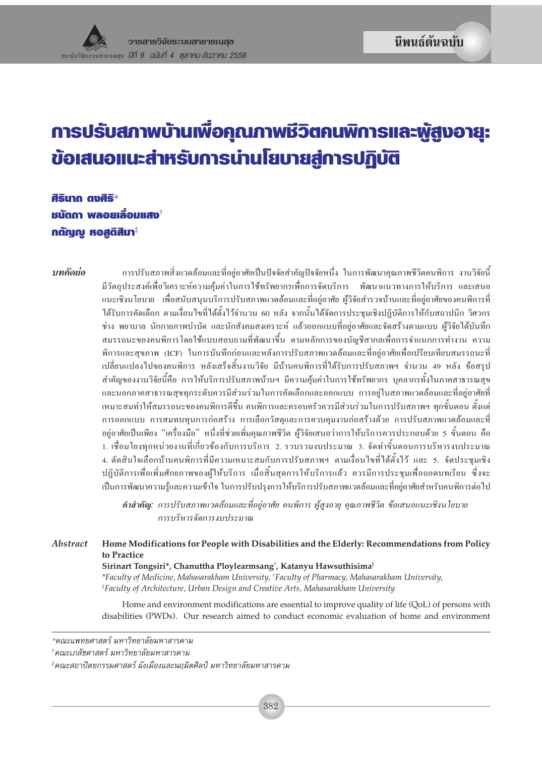# การปรับสภาพบ้านเพื่อคุณภาพชีวิตคนพิการและพู้สูงอายุ: ข้อเสนอแนะสำหรับการน่านโยบายสู่การปฏิบัติ

ศิรินาก ตงศิริ $^*$ ้ ชนัดถา พลอยเลื่อมแสง กตัญญู หอสติสิมา $^{\ddagger}$ 

าเทคัดย่อ

ี การปรับสภาพสิ่งแวดล้อมและที่อย่อาศัยเป็นปัจจัยสำคัญปัจจัยหนึ่ง ในการพัฒนาคณภาพชีวิตคนพิการ งานวิจัยนี้ ้มีวัตถประสงค์เพื่อวิเคราะห์ความค้มค่าในการใช้ทรัพยากรเพื่อการจัดบริการ พัฒนาแนวทางการให้บริการ และเสนอ แนะเชิงนโยบาย เพื่อสนับสนนบริการปรับสภาพแวดล้อมและที่อย่อาศัย ผ้วิจัยสำรวจบ้านและที่อย่อาศัยของคนพิการที่ ใด้รับการคัดเลือก ตามเงื่อนไขที่ได้ตั้งไว้จำนวน 60 หลัง จากนั้นได้จัดการประชมเชิงปฏิบัติการให้กับสถาปนิก วิศวกร ช่าง พยาบาล นักกายภาพบำบัด และนักสังคมสงเคราะห์ แล้วออกแบบที่อยู่อาศัยและจัดสร้างตามแบบ ผู้วิจัยได้บันทึก สมรรถนะของคนพิการโดยใช้แบบสอบถามที่พัฒนาขึ้น ตามหลักการของบัญชีสากลเพื่อการจำแนกการทำงาน ความ พิการและสขภาพ (ICF) ในการบันทึกก่อนและหลังการปรับสภาพแวดล้อมและที่อย่อาศัยเพื่อเปรียบเทียบสมรรถนะที่ เปลี่ยนแปลงไปของคนพิการ หลังเสร็จสิ้นงานวิจัย มีบ้านคนพิการที่ได้รับการปรับสภาพฯ จำนวน 49 หลัง ข้อสรป ้สำคัญของงานวิจัยนี้คือ การให้บริการปรับสภาพบ้านฯ มีความคุ้มค่าในการใช้ทรัพยากร บุคลากรทั้งในภาคสาธารณสุข และนอกภาคสาธารณสุขทุกระดับควรมีส่วนร่วมในการคัดเลือกและออกแบบ การอยู่ในสภาพแวดล้อมและที่อยู่อาศัยที่ ้เหมาะสมทำให้สมรรถนะของคนพิการดีขึ้น คนพิการและครอบครัวควรมีส่วนร่วมในการปรับสภาพฯ ทกขั้นตอน ตั้งแต่ ึการออกแบบ การสมทบทุนการก่อสร้าง การเลือกวัสดุและการควบคุมงานก่อสร้างด้วย การปรับสภาพแวดล้อมและที่ อย่อาศัยเป็นเพียง "เครื่องมือ" หนึ่งที่ช่วยเพิ่มคณภาพชีวิต ผ้วิจัยเสนอว่าการให้บริการควรประกอบด้วย 5 ขั้นตอน คือ 1. เชื่อมโยงทกหน่วยงานที่เกี่ยวข้องกับการบริการ 2. รวบรวมงบประมาณ 3. จัดทำขั้นตอนการบริหารงบประมาณ 4. ตัดสินใจเลือกบ้านคนพิการที่มีความเหมาะสมกับการปรับสภาพฯ ตามเงื่อนไขที่ได้ตั้งไว้ และ 5. จัดประชมเชิง ปฏิบัติการเพื่อเพิ่มศักยภาพของผู้ให้บริการ เมื่อสิ้นสุดการให้บริการแล้ว ควรมีการประชุมเพื่อถอดบทเรียน ซึ่งจะ เป็นการพัฒนาความรู้และความเข้าใจ ในการปรับปรุงการให้บริการปรับสภาพแวดล้อมและที่อยู่อาศัยสำหรับคนพิการต่อไป

**คำสำคัญ:** การปรับสภาพแวดล้อมและที่อยู่อาศัย คนพิการ ผู้สูงอายุ คุณภาพชีวิต ข้อเสนอแนะเชิงนโยบาย การบริหารจัดการงบประมาณ

Home Modifications for People with Disabilities and the Elderly: Recommendations from Policy Ahstract to Practice Sirinart Tongsiri\*, Chanuttha Ploylearmsang<sup>†</sup>, Katanyu Hawsuthisima<sup>‡</sup> \*Faculty of Medicine, Mahasarakham University, †Faculty of Pharmacy, Mahasarakham University, *Eaculty of Architecture, Urban Design and Creative Arts, Mahasarakham University* 

> Home and environment modifications are essential to improve quality of life (QoL) of persons with disabilities (PWDs). Our research aimed to conduct economic evaluation of home and environment

‡คณะสถาปัตยกรรมศาสตร์ ผังเมืองและนฤมิตศิลป์ มหาวิทยาลัยมหาสารคาม

<sup>\*</sup>คณะแพทยศาสตร์ มหาวิทยาลัยมหาสารคาม

<sup>†</sup>คณะเภสัชศาสตร์ มหาวิทยาลัยมหาสารคาม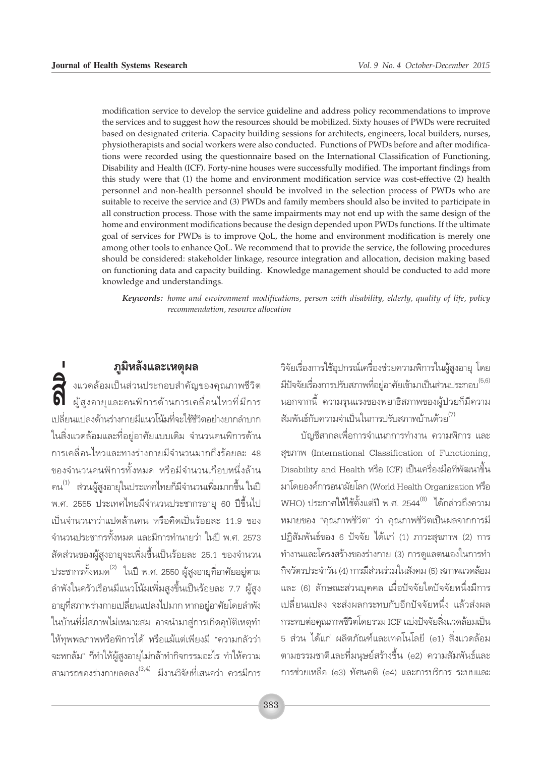modification service to develop the service guideline and address policy recommendations to improve the services and to suggest how the resources should be mobilized. Sixty houses of PWDs were recruited based on designated criteria. Capacity building sessions for architects, engineers, local builders, nurses, physiotherapists and social workers were also conducted. Functions of PWDs before and after modifications were recorded using the questionnaire based on the International Classification of Functioning, Disability and Health (ICF). Forty-nine houses were successfully modified. The important findings from this study were that (1) the home and environment modification service was cost-effective (2) health personnel and non-health personnel should be involved in the selection process of PWDs who are suitable to receive the service and (3) PWDs and family members should also be invited to participate in all construction process. Those with the same impairments may not end up with the same design of the home and environment modifications because the design depended upon PWDs functions. If the ultimate goal of services for PWDs is to improve QoL, the home and environment modification is merely one among other tools to enhance QoL. We recommend that to provide the service, the following procedures should be considered: stakeholder linkage, resource integration and allocation, decision making based on functioning data and capacity building. Knowledge management should be conducted to add more knowledge and understandings.

Keywords: home and environment modifications, person with disability, elderly, quality of life, policy recommendation, resource allocation

### ภูมิหลังและเหตุผล

์<br>จิ๋ งแวดล้อมเป็นส่วนประกอบสำคัญของคุณภาพชีวิต<br>ดิ ผู้สูงอายุและคนพิการด้านการเคลื่อนไหวที่มีการ ้<br>เปลี่ยนแปลงด้านร่างกายมีแนวโน้มที่จะใช้ชีวิตอย่างยากลำบาก ในสิ่งแวดล้อมและที่อยู่อาศัยแบบเดิม จำนวนคนพิการด้าน ้การเคลื่อนไหวและทางร่างกายมีจำนวนมากถึงร้อยละ 48 ของจำนวนคนพิการทั้งหมด หรือมีจำนวนเกือบหนึ่งล้าน  $\mathfrak{su}^{(1)}$  ส่วนผู้สูงอายุในประเทศไทยก็มีจำนวนเพิ่มมากขึ้น ในปี พ.ศ. 2555 ประเทศไทยมีจำนวนประชากรอายุ 60 ปีขึ้นไป เป็นจำนวนกว่าแปดล้านคน หรือคิดเป็นร้อยละ 11.9 ของ จำนวนประชากรทั้งหมด และมีการทำนายว่า ในปี พ.ศ. 2573 ้สัดส่วนของผู้สูงอายุจะเพิ่มขึ้นเป็นร้อยละ 25.1 ของจำนวน ประชากรทั้งหมด<sup>(2)</sup> ในปี พ.ศ. 2550 ผู้สูงอายุที่อาศัยอยู่ตาม ้ลำพังในครัวเรือนมีแนวโน้มเพิ่มสูงขึ้นเป็นร้อยละ 7.7 ผู้สูง ้อายุที่สภาพร่างกายเปลี่ยนแปลงไปมาก หากอยู่อาศัยโดยลำพัง ในบ้านที่มีสภาพไม่เหมาะสม อาจนำมาสู่การเกิดอุบัติเหตุทำ ให้ทพพลภาพหรือพิการได้ หรือแม้แต่เพียงมี "ความกลัวว่า จะหกล้ม" ก็ทำให้ผู้สูงอายุไม่กล้าทำกิจกรรมอะไร ทำให้ความ สามารถของร่างกายลดลง<sup>(3,4)</sup> มีงานวิจัยที่เสนอว่า ควรมีการ

วิจัยเรื่องการใช้อุปกรณ์เครื่องช่วยความพิการในผู้สูงอายุ โดย ้มีปัจจัยเรื่องการปรับสภาพที่อยู่อาศัยเข้ามาเป็นส่วนประกอบ<sup>(5,6)</sup> นอกจากนี้ ความรุนแรงของพยาธิสภาพของผู้ป่วยก็มีความ ้สัมพันธ์กับความจำเป็นในการปรับสภาพบ้านด้วย<sup>(7)</sup>

บัญชีสากลเพื่อการจำแนกการทำงาน ความพิการ และ สุขภาพ (International Classification of Functioning, Disability and Health หรือ ICF) เป็นเครื่องมือที่พัฒนาขึ้น มาโดยองค์การอนามัยโลก (World Health Organization หรือ WHO) ประกาศให้ใช้ตั้งแต่ปี พ.ศ. 2544<sup>(8)</sup> ได้กล่าวถึงความ หมายของ "คุณภาพชีวิต" ว่า คุณภาพชีวิตเป็นผลจากการมี ปฏิสัมพันธ์ของ 6 ปัจจัย ได้แก่ (1) ภาวะสุขภาพ (2) การ ทำงานและโครงสร้างของร่างกาย (3) การดูแลตนเองในการทำ กิจวัตรประจำวัน (4) การมีส่วนร่วมในสังคม (5) สภาพแวดล้อม และ (6) ลักษณะส่วนบุคคล เมื่อปัจจัยใดปัจจัยหนึ่งมีการ เปลี่ยนแปลง จะส่งผลกระทบกับอีกปัจจัยหนึ่ง แล้วส่งผล กระทบต่อคุณภาพชีวิตโดยรวม ICF แบ่งปัจจัยสิ่งแวดล้อมเป็น 5 ส่วน ได้แก่ ผลิตภัณฑ์และเทคโนโลยี (e1) สิ่งแวดล้อม ตามธรรมชาติและที่มนุษย์สร้างขึ้น (e2) ความสัมพันธ์และ การช่วยเหลือ (e3) ทัศนคติ (e4) และการบริการ ระบบและ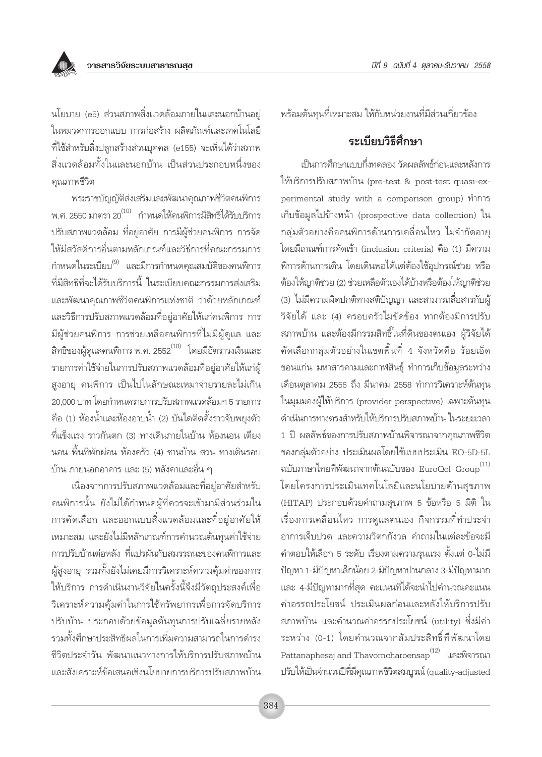

็นโยบาย (e5) ส่วนสภาพสิ่งแวดล้อมภายในและนอกบ้านอยู่ ในหมวดการออกแบบ การก่อสร้าง ผลิตภัณฑ์และเทคโนโลยี ์ที่ใช้สำหรับสิ่งปลูกสร้างส่วนบุคคล (e155) จะเห็นได้ว่าสภาพ สิ่งแวดล้อมทั้งในและนอกบ้าน เป็นส่วนประกอบหนึ่งของ คุณภาพชีวิต

พระราชบัญญัติส่งเสริมและพัฒนาคุณภาพชีวิตคนพิการ พ.ศ. 2550 มาตรา 20<sup>(10)</sup> กำหนดให้คนพิการมีสิทธิได้รับบริการ ปรับสภาพแวดล้อม ที่อยู่อาศัย การมีผู้ช่วยคนพิการ การจัด ให้มีสวัสดิการอื่นตามหลักเกณฑ์และวิธีการที่คณะกรรมการ ้กำหนดในระเบียบ<sup>(9)</sup> และมีการกำหนดคุณสมบัติของคนพิการ ที่มีสิทธิที่จะได้รับบริการนี้ ในระเบียบคณะกรรมการส่งเสริม และพัฒนาคณภาพชีวิตคนพิการแห่งชาติ ว่าด้วยหลักเกณฑ์ และวิธีการปรับสภาพแวดล้อมที่อยู่อาศัยให้แก่คนพิการ การ มีผู้ช่วยคนพิการ การช่วยเหลือคนพิการที่ไม่มีผู้ดูแล และ ี<br>สิทธิของผู้ดูแลคนพิการ พ.ศ. 2552<sup>(10)</sup> โดยมีอัตราวงเงินและ รายการค่าใช้จ่ายในการปรับสภาพแวดล้อมที่อยู่อาศัยให้แก่ผู้ สูงอายุ คนพิการ เป็นไปในลักษณะเหมาจ่ายรายละไม่เกิน 20,000 บาท โดยกำหนดรายการปรับสภาพแวดล้อมฯ 5 รายการ ู้คือ (1) ห้องน้ำและห้องอาบน้ำ (2) บันไดติดตั้งราวจับพยุงตัว ์ที่แข็งแรง ราวกันตก (3) ทางเดินภายในบ้าน ห้องนอน เตียง นอน พื้นที่พักผ่อน ห้องครัว (4) ชานบ้าน สวน ทางเดินรอบ บ้าน ภายนอกอาคาร และ (5) หลังคาและอื่น ๆ

เนื่องจากการปรับสภาพแวดล้อมและที่อยู่อาศัยสำหรับ ้คนพิการนั้น ยังไม่ได้กำหนดผู้ที่ควรจะเข้ามามีส่วนร่วมใน การคัดเลือก และออกแบบสิ่งแวดล้อมและที่อยู่อาศัยให้ เหมาะสม และยังไม่มีหลักเกณฑ์การคำนวณต้นทนค่าใช้จ่าย การปรับบ้านต่อหลัง ที่แปรผันกับสมรรถนะของคนพิการและ ผู้สูงอายุ รวมทั้งยังไม่เคยมีการวิเคราะห์ความคุ้มค่าของการ ให้บริการ การดำเนินงานวิจัยในครั้งนี้จึงมีวัตถุประสงค์เพื่อ วิเคราะห์ความคุ้มค่าในการใช้ทรัพยากรเพื่อการจัดบริการ ปรับบ้าน ประกอบด้วยข้อมูลต้นทุนการปรับเฉลี่ยรายหลัง รวมทั้งศึกษาประสิทธิผลในการเพิ่มความสามารถในการดำรง ชีวิตประจำวัน พัฒนาแนวทางการให้บริการปรับสภาพบ้าน และสังเคราะห์ข้อเสนอเชิงนโยบายการบริการปรับสภาพบ้าน ้พร้อมต้นทุนที่เหมาะสม ให้กับหน่วยงานที่มีส่วนเกี่ยวข้อง

### ระเบียบวิธีศึกษา

เป็นการศึกษาแบบกึ่งทดลอง วัดผลลัพธ์ก่อนและหลังการ ให้บริการปรับสภาพบ้าน (pre-test & post-test quasi-experimental study with a comparison group) ทำการ เก็บข้อมูลไปข้างหน้า (prospective data collection) ใน ึกลุ่มตัวอย่างคือคนพิการด้านการเคลื่อนไหว ไม่จำกัดอายุ โดยมีเกณฑ์การคัดเข้า (inclusion criteria) คือ (1) มีความ ้พิการด้านการเดิน โดยเดินพอได้แต่ต้องใช้อุปกรณ์ช่วย หรือ ต้องให้ญาติช่วย (2) ช่วยเหลือตัวเองได้บ้างหรือต้องให้ญาติช่วย (3) ไม่มีความผิดปกติทางสติปัญญา และสามารถสื่อสารกับผู้ วิจัยได้ และ (4) ครอบครัวไม่ขัดข้อง หากต้องมีการปรับ สภาพบ้าน และต้องมีกรรมสิทธิ์ในที่ดินของตนเอง ผู้วิจัยได้ ์ คัดเลือกกลุ่มตัวอย่างในเขตพื้นที่ 4 จังหวัดคือ ร้อยเอ็ด ขอนแก่น มหาสารคามและกาฬสินธุ์ ทำการเก็บข้อมูลระหว่าง เดือนตุลาคม 2556 ถึง มีนาคม 2558 ทำการวิเคราะห์ต้นทุน ในมุมมองผู้ให้บริการ (provider perspective) เฉพาะต้นทุน ดำเนินการทางตรงสำหรับให้บริการปรับสภาพบ้าน ในระยะเวลา 1 ปี ผลลัพธ์ของการปรับสภาพบ้านพิจารณาจากคุณภาพชีวิต ของกลุ่มตัวอย่าง ประเมินผลโดยใช้แบบประเมิน EQ-5D-5L ฉบับภาษาไทยที่พัฒนาจากต้นฉบับของ EuroQol Group $^{\left( 11\right) }$ โดยโครงการประเมินเทคโนโลยีและนโยบายด้านสุขภาพ (HITAP) ประกอบด้วยคำถามสุขภาพ 5 ข้อหรือ 5 มิติ ใน เรื่องการเคลื่อนไหว การดูแลตนเอง กิจกรรมที่ทำประจำ อาการเจ็บปวด และความวิตกกังวล คำถามในแต่ละข้อจะมี คำตอบให้เลือก 5 ระดับ เรียงตามความรุนแรง ตั้งแต่ 0-ไม่มี ปัญหา 1-มีปัญหาเล็กน้อย 2-มีปัญหาปานกลาง 3-มีปัญหามาก และ 4-มีปัญหามากที่สุด คะแนนที่ได้จะนำไปคำนวณคะแนน ค่าอรรถประโยชน์ ประเมินผลก่อนและหลังให้บริการปรับ สภาพบ้าน และคำนวณค่าอรรถประโยชน์ (utility) ซึ่งมีค่า ระหว่าง (0-1) โดยคำนวณจากสัมประสิทธิ์ที่พัฒนาโดย Pattanaphesaj and Thavorncharoensap<sup>(12)</sup> และพิจารณา ปรับให้เป็นจำนวนปีที่มีคุณภาพชีวิตสมบูรณ์ (quality-adjusted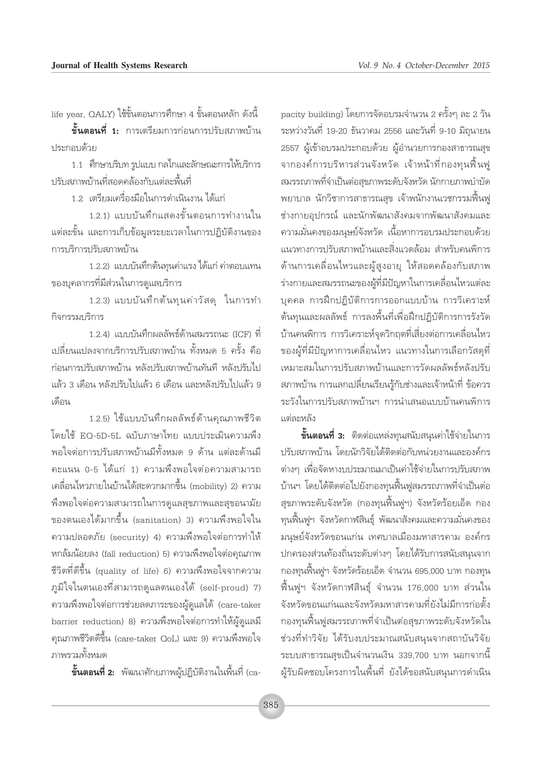life year, QALY) ใช้ขั้นตอนการศึกษา 4 ขั้นตอนหลัก ดังนี้

**ขั้นตอนที่ 1:** การเตรียมการก่อนการปรับสภาพบ้าน <u> เระกอบด้าย</u>

1.1 - ศึกษาบริบท รูปแบบ กลไกและลักษณะการให้บริการ ้ ปรับสภาพบ้านที่สอดคล้องกับแต่ละพื้นที่

1.2 เตรียมเครื่องมือในการดำเนินงาน ได้แก่

1.2.1) แบบบันทึกแสดงขั้นตอนการทำงานใน แต่ละขั้น และการเก็บข้อมูลระยะเวลาในการปฏิบัติงานของ การบริการปรับสภาพบ้าน

1.2.2) แบบบันทึกต้นทุนค่าแรง ได้แก่ ค่าตอบแทน ของบุคลากรที่มีส่วนในการดูแลบริการ

1.2.3) แบบบันทึกต้นทุนค่าวัสดุ ในการทำ กิจกรรมบริการ

1.2.4) แบบบันทึกผลลัพธ์ด้านสมรรถนะ (ICF) ที่ ้เปลี่ยนแปลงจากบริการปรับสภาพบ้าน ทั้งหมด 5 ครั้ง คือ ก่อนการปรับสภาพบ้าน หลังปรับสภาพบ้านทันที หลังปรับไป แล้ว 3 เดือน หลังปรับไปแล้ว 6 เดือน และหลังปรับไปแล้ว 9 เด็กน

1.2.5) ใช้แบบบันทึกผลลัพธ์ด้านคุณภาพชีวิต โดยใช้ EQ-5D-5L ฉบับภาษาไทย แบบประเมินความพึ่ง ้พอใจต่อการปรับสภาพบ้านมีทั้งหมด 9 ด้าน แต่ละด้านมี ้คะแนน 0-5 ได้แก่ 1) ความพึ่งพอใจต่อความสามารถ เคลื่อนไหวภายในบ้านได้สะดวกมากขึ้น (mobility) 2) ความ พึงพอใจต่อความสามารถในการดูแลสุขภาพและสุขอนามัย ของตนเองได้มากขึ้น (sanitation) 3) ความพึงพอใจใน ความปลอดภัย (security) 4) ความพึงพอใจต่อการทำให้ หกล้มน้อยลง (fall reduction) 5) ความพึงพอใจต่อคุณภาพ ้ชีวิตที่ดีขึ้น (quality of life) 6) ความพึงพอใจจากความ ภูมิใจในตนเองที่สามารถดูแลตนเองได้ (self-proud) 7) ้ความพึงพอใจต่อการช่วยลดภาระของผู้ดูแลได้ (care-taker barrier reduction) 8) ความพึงพอใจต่อการทำให้ผู้ดูแลมี ้คุณภาพชีวิตดีขึ้น (care-taker OoL) และ 9) ความพึงพอใจ ิดเผยพั้งหมด

**ขั้นตอนที่ 2:** พัฒนาศักยภาพผู้ปฏิบัติงานในพื้นที่ (ca-

pacity building) โดยการจัดอบรมจำนวน 2 ครั้งๆ ละ 2 วัน ระหว่างวันที่ 19-20 ธันวาคม 2556 และวันที่ 9-10 มิถุนายน 2557 ผู้เข้าอบรมประกอบด้วย ผู้อำนวยการกองสาธารณสุข จากองค์การบริหารส่วนจังหวัด เจ้าหน้าที่กองทุนพื้นฟู สมรรถภาพที่จำเป็นต่อสุขภาพระดับจังหวัด นักกายภาพบำบัด ่ พยาบาล นักวิชาการสาธารณสุข เจ้าพนักงานเวชกรรมฟื้นฟู ช่างกายอุปกรณ์ และนักพัฒนาสังคมจากพัฒนาสังคมและ ้ความมั่นคงของมนุษย์จังหวัด เนื้อหาการอบรมประกอบด้วย แนวทางการปรับสภาพบ้านและสิ่งแวดล้อม สำหรับคนพิการ ้ด้านการเคลื่อนไหวและผู้สูงอายุ ให้สอดคล้องกับสภาพ ร่างกายและสมรรถนะของผู้ที่มีปัญหาในการเคลื่อนไหวแต่ละ บุคคล การฝึกปฏิบัติการการออกแบบบ้าน การวิเคราะห์ ้ต้นทุนและผลลัพธ์ การลงพื้นที่เพื่อฝึกปฏิบัติการการรังวัด ้บ้านคนพิการ การวิเคราะห์จุดวิกฤตที่เสี่ยงต่อการเคลื่อนไหว ของผู้ที่มีปัญหาการเคลื่อนไหว แนวทางในการเลือกวัสดุที่ เหมาะสมในการปรับสภาพบ้านและการวัดผลลัพธ์หลังปรับ ิสภาพบ้าน การแลกเปลี่ยนเรียนรู้กับช่างและเจ้าหน้าที่ ข้อควร ระวังในการปรับสภาพบ้านฯ การนำเสนอแบบบ้านคนพิการ แต่ละหลัง

**ขั้นตอนที่ 3:** ติดต่อแหล่งทุนสนับสนุนค่าใช้จ่ายในการ ปรับสภาพบ้าน โดยนักวิจัยได้ติดต่อกับหน่วยงานและองค์กร ต่างๆ เพื่อจัดหางบประมาณมาเป็นค่าใช้จ่ายในการปรับสภาพ ้บ้านฯ โดยได้ติดต่อไปยังกองทุนฟื้นฟูสมรรถภาพที่จำเป็นต่อ สุขภาพระดับจังหวัด (กองทุนฟื้นฟูฯ) จังหวัดร้อยเอ็ด กอง ทุนฟื้นฟูฯ จังหวัดกาฬสินธุ์ พัฒนาสังคมและความมั่นคงของ ้มนุษย์จังหวัดขอนแก่น เทศบาลเมืองมหาสารคาม องค์กร ปกครองส่วนท้องถิ่นระดับต่างๆ โดยได้รับการสนับสนุนจาก ึกองทุนฟื้นฟูฯ จังหวัดร้อยเอ็ด จำนวน 695,000 บาท กองทุน ์พื้นฟูฯ จังหวัดกาฬสินธุ์ จำนวน 176,000 บาท ส่วนใน จังหวัดขอนแก่นและจังหวัดมหาสารคามที่ยังไม่มีการก่อตั้ง ึกองทุนพื้นฟูสมรรถภาพที่จำเป็นต่อสุขภาพระดับจังหวัดใน ช่วงที่ทำวิจัย ได้รับงบประมาณสนับสนุนจากสถาบันวิจัย ระบบสาธารณสุขเป็นจำนวนเงิน 339,700 บาท นอกจากนี้ ผู้รับผิดชอบโครงการในพื้นที่ ยังได้ขอสนับสนุนการดำเนิน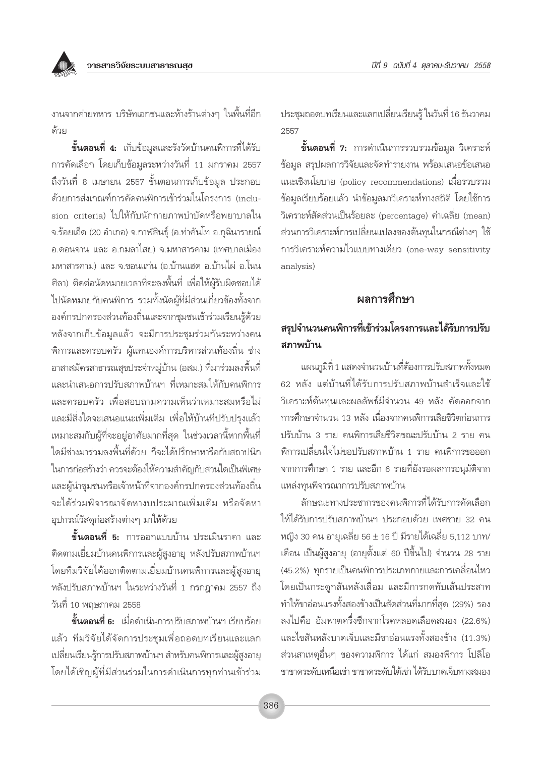

ึงานจากค่ายทหาร บริษัทเอกชนและห้างร้านต่างๆ ในพื้นที่อีก ด้วย

**ขั้นตอนที่ 4:** เก็บข้อมูลและรังวัดบ้านคนพิการที่ได้รับ การคัดเลือก โดยเก็บข้อมูลระหว่างวันที่ 11 มกราคม 2557 ถึงวันที่ 8 เมษายน 2557 ขั้นตอนการเก็บข้อมูล ประกอบ ด้วยการส่งเกณฑ์การคัดคนพิการเข้าร่วมในโครงการ (inclusion criteria) ไปให้กับนักกายภาพบำบัดหรือพยาบาลใน จ.ร้อยเอ็ด (20 อำเภอ) จ.กาฬสินธุ์ (อ.ท่าคันโท อ.กุฉินารายณ์ ้อ.ดอนจาน และ อ.กมลาไสย) จ.มหาสารคาม (เทศบาลเมือง ้มหาสารคาม) และ จ.ขอนแก่น (อ.บ้านแฮด อ.บ้านไผ่ อ.โนน ้ศิลา) ติดต่อนัดหมายเวลาที่จะลงพื้นที่ เพื่อให้ผู้รับผิดชอบได้ ไปนัดหมายกับคนพิการ รวมทั้งนัดผู้ที่มีส่วนเกี่ยวข้องทั้งจาก องค์กรปกครองส่วนท้องถิ่นและจากชุมชนเข้าร่วมเรียนรู้ด้วย หลังจากเก็บข้อมูลแล้ว จะมีการประชุมร่วมกันระหว่างคน ้พิการและครอบครัว ผู้แทนองค์การบริหารส่วนท้องถิ่น ช่าง ้อาสาสมัครสาธารณสุขประจำหมู่บ้าน (อสม.) ที่มาร่วมลงพื้นที่ ้และนำเสนอการปรับสภาพบ้านฯ ที่เหมาะสมให้กับคนพิการ และครอบครัว เพื่อสอบถามความเห็นว่าเหมาะสมหรือไม่ ้และมีสิ่งใดจะเสนอแนะเพิ่มเติม เพื่อให้บ้านที่ปรับปรุงแล้ว เหมาะสมกับผู้ที่จะอยู่อาศัยมากที่สุด ในช่วงเวลานี้หากพื้นที่ ใดมีช่างมาร่วมลงพื้นที่ด้วย ก็จะได้ปรึกษาหารือกับสถาปนิก ในการก่อสร้างว่า ควรจะต้องให้ความสำคัญกับส่วนใดเป็นพิเศษ และผู้นำชุมชนหรือเจ้าหน้าที่จากองค์กรปกครองส่วนท้องถิ่น จะได้ร่วมพิจารณาจัดหางบประมาณเพิ่มเติม หรือจัดหา อุปกรณ์วัสดุก่อสร้างต่างๆ มาให้ด้วย

**ขั้นตอนที่ 5:** การออกแบบบ้าน ประเมินราคา และ ติดตามเยี่ยมบ้านคนพิการและผู้สูงอายุ หลังปรับสภาพบ้านฯ โดยทีมวิจัยได้ออกติดตามเยี่ยมบ้านคนพิการและผู้สูงอายุ หลังปรับสภาพบ้านฯ ในระหว่างวันที่ 1 กรกฎาคม 2557 ถึง วันที่ 10 พฤษภาคม 2558

**ขั้นตอนที่ 6:** เมื่อดำเนินการปรับสภาพบ้านฯ เรียบร้อย แล้ว ทีมวิจัยได้จัดการประชุมเพื่อถอดบทเรียนและแลก เปลี่ยนเรียนรู้การปรับสภาพบ้านฯ สำหรับคนพิการและผู้สูงอายุ โดยได้เชิญผู้ที่มีส่วนร่วมในการดำเนินการทุกท่านเข้าร่วม ประชุมถอดบทเรียนและแลกเปลี่ยนเรียนรู้ ในวันที่ 16 ธันวาคม 2557

**ขั้นตอนที่ 7:** การดำเนินการรวบรวมข้อมูล วิเคราะห์ ข้อมูล สรุปผลการวิจัยและจัดทำรายงาน พร้อมเสนอข้อเสนอ แนะเชิงนโยบาย (policy recommendations) เมื่อรวบรวม ข้อมูลเรียบร้อยแล้ว นำข้อมูลมาวิเคราะห์ทางสถิติ โดยใช้การ วิเคราะห์สัดส่วนเป็นร้อยละ (percentage) ค่าเฉลี่ย (mean) ส่วนการวิเคราะห์การเปลี่ยนแปลงของต้นทุนในกรณีต่างๆ ใช้ การวิเคราะห์ความไวแบบทางเดียว (one-way sensitivity analysis)

# ผลการศึกษา

# สรุปจำนวนคนพิการที่เข้าร่วมโครงการและได้รับการปรับ สภาพบ้าน

แผนภูมิที่ 1 แสดงจำนวนบ้านที่ต้องการปรับสภาพทั้งหมด 62 หลัง แต่บ้านที่ได้รับการปรับสภาพบ้านสำเร็จและใช้ วิเคราะห์ต้นทุนและผลลัพธ์มีจำนวน 49 หลัง คัดออกจาก การศึกษาจำนวน 13 หลัง เนื่องจากคนพิการเสียชีวิตก่อนการ ปรับบ้าน 3 ราย คนพิการเสียชีวิตขณะปรับบ้าน 2 ราย คน ้พิการเปลี่ยนใจไม่ขอปรับสภาพบ้าน 1 ราย คนพิการขอออก จากการศึกษา 1 ราย และอีก 6 รายที่ยังรอผลการอนุมัติจาก แหล่งทุนพิจารณาการปรับสภาพบ้าน

ลักษณะทางประชากรของคนพิการที่ได้รับการคัดเลือก ให้ได้รับการปรับสภาพบ้านฯ ประกอบด้วย เพศชาย 32 คน หญิง 30 คน อายเฉลี่ย 56 ± 16 ปี มีรายได้เฉลี่ย 5,112 บาท/ เดือน เป็นผู้สูงอายุ (อายุตั้งแต่ 60 ปีขึ้นไป) จำนวน 28 ราย (45.2%) ทุกรายเป็นคนพิการประเภทกายและการเคลื่อนไหว โดยเป็นกระดูกสันหลังเสื่อม และมีการกดทับเส้นประสาท ทำให้ขาอ่อนแรงทั้งสองข้างเป็นสัดส่วนที่มากที่สุด (29%) รอง ลงไปคือ อัมพาตครึ่งซีกจากโรคหลอดเลือดสมอง (22.6%) และไขสันหลังบาดเจ็บและมีขาอ่อนแรงทั้งสองข้าง (11.3%) ้ส่วนสาเหตุอื่นๆ ของความพิการ ได้แก่ สมองพิการ โปลิโอ ขาขาดระดับเหนือเข่า ขาขาดระดับใต้เข่า ได้รับบาดเจ็บทางสมอง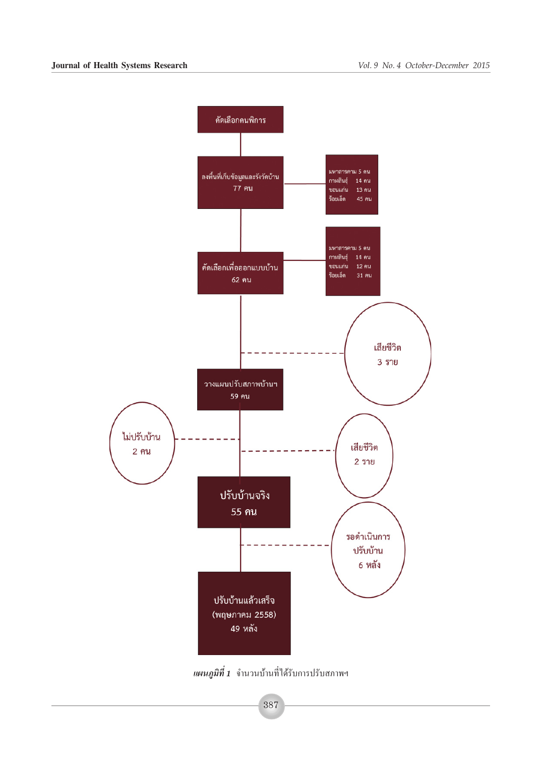

*แผนภูมิที่ 1* จำนวนบ้านที่ได้รับการปรับสภาพฯ

387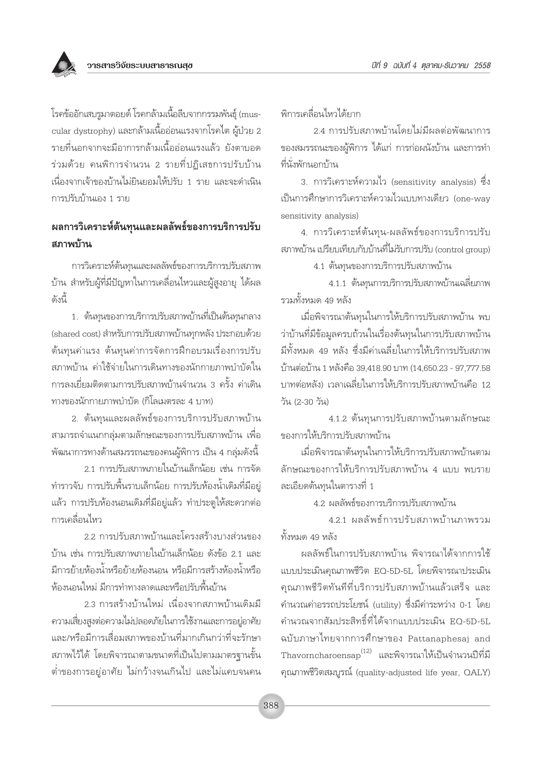

โรคข้ออักเสบรูมาตอยด์ โรคกล้ามเนื้อลีบจากกรรมพันธุ์ (muscular dystrophy) และกล้ามเนื้ออ่อนแรงจากโรคไต ผู้ป่วย 2 รายที่นอกจากจะมีอาการกล้ามเนื้ออ่อนแรงแล้ว ยังตาบอด ร่วมด้วย คนพิการจำนวน 2 รายที่ปฏิเสธการปรับบ้าน เนื่องจากเจ้าของบ้านไม่ยินยอมให้ปรับ 1 ราย และจะดำเนิน การปรับบ้านเอง 1 ราย

# ผลการวิเคราะห์ต้นทุนและผลลัพธ์ของการบริการปรับ สภาพข้าน

การวิเคราะห์ต้นทุนและผลลัพธ์ของการบริการปรับสภาพ ้บ้าน สำหรับผู้ที่มีปัญหาในการเคลื่อนไหวและผู้สูงอายุ ได้ผล ดังนี้

1. ต้นทุนของการบริการปรับสภาพบ้านที่เป็นต้นทุนกลาง (shared cost) สำหรับการปรับสภาพบ้านทุกหลัง ประกอบด้วย ต้นทุนค่าแรง ต้นทุนค่าการจัดการฝึกอบรมเรื่องการปรับ สภาพบ้าน ค่าใช้จ่ายในการเดินทางของนักกายภาพบำบัดใน ้การลงเยี่ยมติดตามการปรับสภาพบ้านจำนวน 3 ครั้ง ค่าเดิน ทางของนักกายภาพบำบัด (กิโลเมตรละ 4 บาท)

2. ต้นทุนและผลลัพธ์ของการบริการปรับสภาพบ้าน ้สามารถจำแนกกลุ่มตามลักษณะของการปรับสภาพบ้าน เพื่อ ี พัฒนาการทางด้านสมรรถนะของคนผู้พิการ เป็น 4 กลุ่มดังนี้

2.1 การปรับสภาพภายในบ้านเล็กน้อย เช่น การจัด ทำราวจับ การปรับพื้นราบเล็กน้อย การปรับห้องน้ำเดิมที่มีอยู่ แล้ว การปรับห้องนอนเดิมที่มีอยู่แล้ว ทำประตูให้สะดวกต่อ การเคลื่อนไหว

2.2 การปรับสภาพบ้านและโครงสร้างบางส่วนของ บ้าน เช่น การปรับสภาพภายในบ้านเล็กน้อย ดังข้อ 2.1 และ มีการย้ายห้องน้ำหรือย้ายห้องนอน หรือมีการสร้างห้องน้ำหรือ ห้องนอนใหม่ มีการทำทางลาดและหรือปรับพื้นบ้าน

2.3 การสร้างบ้านใหม่ เนื่องจากสภาพบ้านเดิมมี ้ความเสี่ยงสูงต่อความไม่ปลอดภัยในการใช้งานและการอยู่อาศัย และ/หรือมีการเสื่อมสภาพของบ้านที่มากเกินกว่าที่จะรักษา ิสภาพไว้ได้ โดยพิจารณาตามขนาดที่เป็นไปตามมาตรฐานขั้น ้ต่ำของการอยู่อาศัย ไม่กว้างจนเกินไป และไม่แคบจนคน พิการเคลื่อนไหวได้ยาก

2.4 การปรับสภาพบ้านโดยไม่มีผลต่อพัฒนาการ ของสมรรถนะของผู้พิการ ได้แก่ การก่อผนังบ้าน และการทำ ที่นั่งพักนอกบ้าน

3. การวิเคราะห์ความไว (sensitivity analysis) ซึ่ง เป็นการศึกษาการวิเคราะห์ความไวแบบทางเดียว (one-way sensitivity analysis)

4. การวิเคราะห์ต้นทุน-ผลลัพธ์ของการบริการปรับ สภาพบ้าน เปรียบเทียบกับบ้านที่ไม่รับการปรับ (control aroup)

4.1 ต้นทุนของการบริการปรับสภาพบ้าน

4.1.1 ต้นทุนการบริการปรับสภาพบ้านเฉลี่ยภาพ รวมทั้งหมด 49 หลัง

เมื่อพิจารณาต้นทุนในการให้บริการปรับสภาพบ้าน พบ ว่าบ้านที่มีข้อมูลครบถ้วนในเรื่องต้นทุนในการปรับสภาพบ้าน มีทั้งหมด 49 หลัง ซึ่งมีค่าเฉลี่ยในการให้บริการปรับสภาพ บ้านต่อบ้าน 1 หลังคือ 39.418.90 บาท (14.650.23 - 97.777.58 บาทต่อหลัง) เวลาเฉลี่ยในการให้บริการปรับสภาพบ้านคือ 12 วัน (2-30 วัน)

4.1.2 ต้นทุนการปรับสภาพบ้านตามลักษณะ ของการให้บริการปรับสภาพบ้าน

เมื่อพิจารณาต้นทนในการให้บริการปรับสภาพบ้านตาม ลักษณะของการให้บริการปรับสภาพบ้าน 4 แบบ พบราย ละเอียดต้นทุนในตารางที่ 1

4.2 ผลลัพธ์ของการบริการปรับสภาพบ้าน

4.2.1 ผลลัพธ์การปรับสภาพบ้านภาพรวม ทั้งหมด 49 หลัง

ผลลัพธ์ในการปรับสภาพบ้าน พิจารณาได้จากการใช้ แบบประเมินคุณภาพชีวิต EO-5D-5L โดยพิจารณาประเมิน ้คุณภาพชีวิตทันทีที่บริการปรับสภาพบ้านแล้วเสร็จ และ คำนวณค่าอรรถประโยชน์ (utility) ซึ่งมีค่าระหว่าง 0-1 โดย คำนวณจากสัมประสิทธิ์ที่ได้จากแบบประเมิน EQ-5D-5L ฉบับภาษาไทยจากการศึกษาของ Pattanaphesaj and Thavorncharoensap $^{(12)}$  และพิจารณาให้เป็นจำนวนปีที่มี คุณภาพชีวิตสมบูรณ์ (quality-adjusted life year, QALY)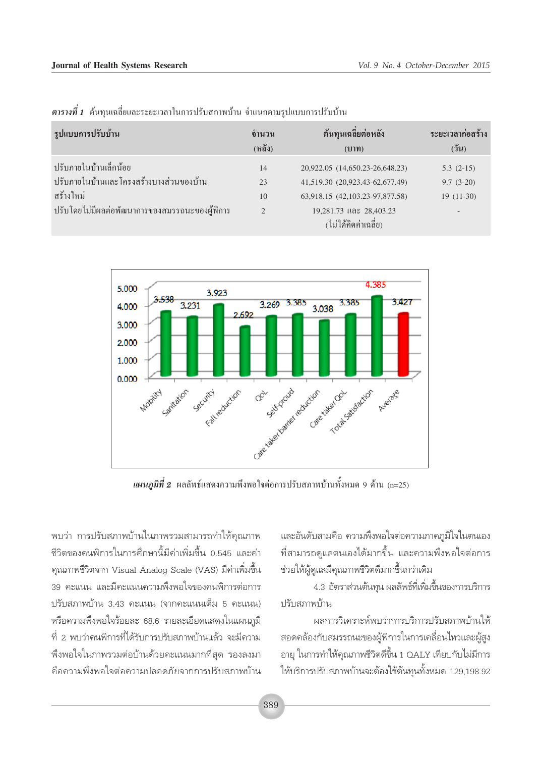| รูปแบบการปรับบ้าน                                                                                                                | ้จำนวน              | ต้นทุนเฉลี่ยต่อหลัง                                                                                                                                      | ระยะเวลาก่อสร้าง                          |
|----------------------------------------------------------------------------------------------------------------------------------|---------------------|----------------------------------------------------------------------------------------------------------------------------------------------------------|-------------------------------------------|
|                                                                                                                                  | (หลัง)              | (11)                                                                                                                                                     | $($ วัน)                                  |
| ปรับภายในบ้านเล็กน้อย<br>ปรับภายในบ้านและโครงสร้างบางส่วนของบ้าน<br>ิสร้างใหม่<br>ปรับโดยไม่มีผลต่อพัฒนาการของสมรรถนะของผู้พิการ | 14<br>23<br>10<br>2 | 20,922.05 (14,650.23-26,648.23)<br>41,519.30 (20,923.43-62,677.49)<br>63,918.15 (42,103.23-97,877.58)<br>19,281.73 และ 28,403.23<br>(ไม่ได้คิดค่าเฉลี่ย) | $5.3(2-15)$<br>$9.7(3-20)$<br>$19(11-30)$ |

*ตารางที่ 1* ต้นทุนเฉลี่ยและระยะเวลาในการปรับสภาพบ้าน จำแนกตามรูปแบบการปรับบ้าน



*แผนภูมิที่ 2* ผลลัพธ์แสดงความพึงพอใจต่อการปรับสภาพบ้านทั้งหมด 9 ด้าน (n=25)

็พบว่า การปรับสภาพบ้านในภาพรวมสามารถทำให้คุณภาพ ชีวิตของคนพิการในการศึกษานี้มีค่าเพิ่มขึ้น 0.545 และค่า ้ คุณภาพชีวิตจาก Visual Analog Scale (VAS) มีค่าเพิ่มขึ้น 39 คะแนน และมีคะแนนความพึ่งพอใจของคนพิการต่อการ ปรับสภาพบ้าน 3.43 คะแนน (จากคะแนนเต็ม 5 คะแนน) หรือความพึงพอใจร้อยละ 68.6 รายละเอียดแสดงในแผนภูมิ ู้ที่ 2 พบว่าคนพิการที่ได้รับการปรับสภาพบ้านแล้ว จะมีความ ้พึงพอใจในภาพรวมต่อบ้านด้วยคะแนนมากที่สุด รองลงมา คือความพึ่งพอใจต่อความปลอดภัยจากการปรับสภาพบ้าน และอันดับสามคือ ความพึ่งพอใจต่อความภาคภูมิใจในตนเอง ้ที่สามารถดูแลตนเองได้มากขึ้น และความพึงพอใจต่อการ ช่วยให้ผู้ดูแลมีคุณภาพชีวิตดีมากขึ้นกว่าเดิม

4.3 อัตราส่วนต้นทุน ผลลัพธ์ที่เพิ่มขึ้นของการบริการ ปรับสภาพบ้าน

ผลการวิเคราะห์พบว่าการบริการปรับสภาพบ้านให้ สอดคล้องกับสมรรถนะของผู้พิการในการเคลื่อนไหวและผู้สูง อายุ ในการทำให้คุณภาพชีวิตดีขึ้น 1 OALY เทียบกับไม่มีการ ให้บริการปรับสภาพบ้านจะต้องใช้ต้นทุนทั้งหมด 129,198.92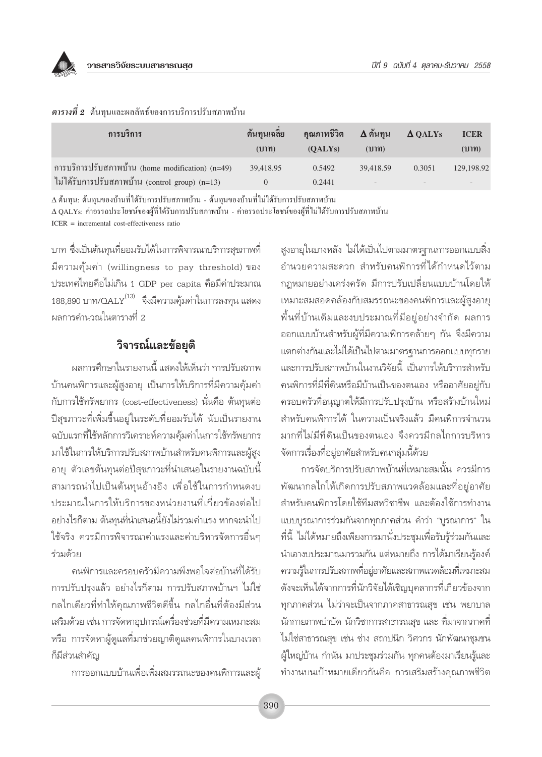

| การบริการ                                                                                             | ต้นทุนเฉลีย<br>(บาท) | คุณภาพชีวิต<br>(OALYs) | ี∆ ต้นทุน<br>(11) | $\triangle$ QALYs | <b>ICER</b><br>(111) |
|-------------------------------------------------------------------------------------------------------|----------------------|------------------------|-------------------|-------------------|----------------------|
| การบริการปรับสภาพบ้าน (home modification) $(n=49)$<br>ไม่ได้รับการปรับสภาพบ้าน (control group) (n=13) | 39,418.95            | 0.5492<br>0.2441       | 39.418.59         | 0.3051            | 129,198.92           |

#### $\rho$ ารางที่ 2 ต้นทนและผลลัพธ์ของการบริการปรับสภาพบ้าน

∆ ต้นทุน: ต้นทุนของบ้านที่ได้รับการปรับสภาพบ้าน - ต้นทุนของบ้านที่ไม่ได้รับการปรับสภาพบ้าน Δ QALYs: ค่าอรรถประโยชน์ของผู้ที่ได้รับการปรับสภาพบ้าน - ค่าอรรถประโยชน์ของผู้ที่ไม่ได้รับการปรับสภาพบ้าน

 $ICER$  = incremental cost-effectiveness ratio

้บาท ซึ่งเป็นต้นทุนที่ยอมรับได้ในการพิจารณาบริการสุขภาพที่ มีความคุ้มค่า (willingness to pay threshold) ของ ประเทศไทยคือไม่เกิน 1 GDP per capita คือมีค่าประมาณ 188,890 บาท/QALY<sup>(13)</sup> จึงมีความคุ้มค่าในการลงทุน แสดง ผลการคำนวณในตารางที่ 2

# วิจารณ์และข้อยุติ

ผลการศึกษาในรายงานนี้ แสดงให้เห็นว่า การปรับสภาพ บ้านคนพิการและผู้สูงอายุ เป็นการให้บริการที่มีความคุ้มค่า กับการใช้ทรัพยากร (cost-effectiveness) นั่นคือ ต้นทุนต่อ ปีสุขภาวะที่เพิ่มขึ้นอยู่ในระดับที่ยอมรับได้ นับเป็นรายงาน ฉบับแรกที่ใช้หลักการวิเคราะห์ความคุ้มค่าในการใช้ทรัพยากร มาใช้ในการให้บริการปรับสภาพบ้านสำหรับคนพิการและผู้สูง ้อายุ ตัวเลขต้นทุนต่อปีสุขภาวะที่นำเสนอในรายงานฉบับนี้ สามารถนำไปเป็นต้นทุนอ้างอิง เพื่อใช้ในการกำหนดงบ ้าโระมาณในการให้บริการของหน่วยงานที่เกี่ยวข้องต่อไป ้อย่างไรก็ตาม ต้นทุนที่นำเสนอนี้ยังไม่รวมค่าแรง หากจะนำไป ใช้จริง ควรมีการพิจารณาค่าแรงและค่าบริหารจัดการอื่นๆ ร่วมด้วย

คนพิการและครอบครัวมีความพึงพอใจต่อบ้านที่ได้รับ การปรับปรุงแล้ว อย่างไรก็ตาม การปรับสภาพบ้านฯ ไม่ใช่ ึกลไกเดียวที่ทำให้คุณภาพชีวิตดีขึ้น กลไกอื่นที่ต้องมีส่วน เสริมด้วย เช่น การจัดหาอุปกรณ์เครื่องช่วยที่มีความเหมาะสม หรือ การจัดหาผู้ดูแลที่มาช่วยญาติดูแลคนพิการในบางเวลา ก็มีส่วนสำคัญ

การออกแบบบ้านเพื่อเพิ่มสมรรถนะของคนพิการและผ้

้สูงอายุในบางหลัง ไม่ได้เป็นไปตามมาตรฐานการออกแบบสิ่ง อำนวยความสะดวก สำหรับคนพิการที่ได้กำหนดไว้ตาม กฎหมายอย่างเคร่งครัด มีการปรับเปลี่ยนแบบบ้านโดยให้ เหมาะสมสอดคล้องกับสมรรถนะของคนพิการและผู้สูงอายุ ์พื้นที่บ้านเดิมและงบประมาณที่มีอยู่อย่างจำกัด ผลการ ้ออกแบบบ้านสำหรับผู้ที่มีความพิการคล้ายๆ กัน จึงมีความ แตกต่างกันและไม่ได้เป็นไปตามมาตรฐานการออกแบบทุกราย และการปรับสภาพบ้านในงานวิจัยนี้ เป็นการให้บริการสำหรับ คนพิการที่มีที่ดินหรือมีบ้านเป็นของตนเอง หรืออาศัยอยู่กับ ้ครอบครัวที่อนุญาตให้มีการปรับปรุงบ้าน หรือสร้างบ้านใหม่ ้สำหรับคนพิการได้ ในความเป็นจริงแล้ว มีคนพิการจำนวน มากที่ไม่มีที่ดินเป็นของตนเอง จึงควรมีกลไกการบริหาร จัดการเรื่องที่อยู่อาศัยสำหรับคนกลุ่มนี้ด้วย

การจัดบริการปรับสภาพบ้านที่เหมาะสมนั้น ควรมีการ พัฒนากลไกให้เกิดการปรับสภาพแวดล้อมและที่อยู่อาศัย สำหรับคนพิการโดยใช้ทีมสหวิชาชีพ และต้องใช้การทำงาน แบบบูรณาการร่วมกันจากทุกภาคส่วน คำว่า "บูรณาการ" ใน ที่นี้ ไม่ได้หมายถึงเพียงการมานั่งประชุมเพื่อรับรู้ร่วมกันและ ้นำเอางบประมาณมารวมกัน แต่หมายถึง การได้มาเรียนรู้องค์ ความรู้ในการปรับสภาพที่อยู่อาศัยและสภาพแวดล้อมที่เหมาะสม ดังจะเห็นได้จากการที่นักวิจัยได้เชิญบุคลากรที่เกี่ยวข้องจาก ทุกภาคส่วน ไม่ว่าจะเป็นจากภาคสาธารณสุข เช่น พยาบาล ้นักกายภาพบำบัด นักวิชาการสาธารณสุข และ ที่มาจากภาคที่ ไม่ใช่สาธารณสุข เช่น ช่าง สถาปนิก วิศวกร นักพัฒนาชุมชน ผู้ใหญ่บ้าน กำนัน มาประชุมร่วมกัน ทุกคนต้องมาเรียนรู้และ ทำงานบนเป้าหมายเดียวกันคือ การเสริมสร้างคุณภาพชีวิต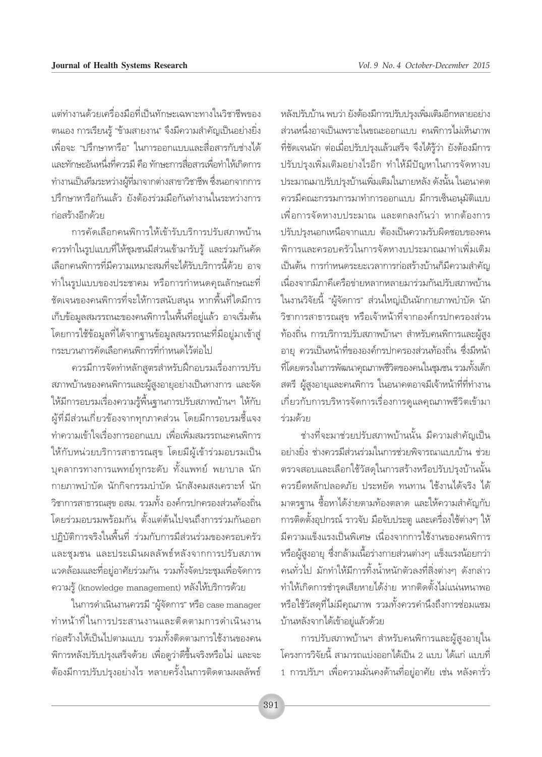แต่ทำงานด้วยเครื่องมือที่เป็นทักษะเฉพาะทางในวิชาชีพของ ตนเอง การเรียนรู้ "ข้ามสายงาน" จึงมีความสำคัญเป็นอย่างยิ่ง เพื่อจะ "ปรึกษาหารือ" ในการออกแบบและสื่อสารกับช่างได้ และทักษะอันหนึ่งที่ควรมี คือ ทักษะการสื่อสารเพื่อทำให้เกิดการ ทำงานเป็นทีมระหว่างผู้ที่มาจากต่างสาขาวิชาชีพ ซึ่งนอกจากการ ปรึกษาหารือกันแล้ว ยังต้องร่วมมือกันทำงานในระหว่างการ ก่อสร้างอีกด้วย

การคัดเลือกคนพิการให้เข้ารับบริการปรับสภาพบ้าน ้ควรทำในรูปแบบที่ให้ชุมชนมีส่วนเข้ามารับรู้ และร่วมกันคัด เลือกคนพิการที่มีความเหมาะสมที่จะได้รับบริการนี้ด้วย อาจ ทำในรูปแบบของประชาคม หรือการกำหนดคุณลักษณะที่ ชัดเจนของคนพิการที่จะให้การสนับสนุน หากพื้นที่ใดมีการ เก็บข้อมูลสมรรถนะของคนพิการในพื้นที่อยู่แล้ว อาจเริ่มต้น โดยการใช้ข้อมูลที่ได้จากฐานข้อมูลสมรรถนะที่มีอยู่มาเข้าสู่ กระบวนการคัดเลือกคนพิการที่กำหนดไว้ต่อไป

ควรมีการจัดทำหลักสูตรสำหรับฝึกอบรมเรื่องการปรับ สภาพบ้านของคนพิการและผู้สูงอายุอย่างเป็นทางการ และจัด ให้มีการอบรมเรื่องความรู้พื้นฐานการปรับสภาพบ้านฯ ให้กับ ผู้ที่มีส่วนเกี่ยวข้องจากทุกภาคส่วน โดยมีการอบรมชื้แจง ทำความเข้าใจเรื่องการออกแบบ เพื่อเพิ่มสมรรถนะคนพิการ ให้กับหน่วยบริการสาธารณสุข โดยมีผู้เข้าร่วมอบรมเป็น ิบุคลากรทางการแพทย์ทุกระดับ ทั้งแพทย์ พยาบาล นัก กายภาพบำบัด นักกิจกรรมบำบัด นักสังคมสงเคราะห์ นัก ้วิชาการสาธารณสุข อสม. รวมทั้ง องค์กรปกครองส่วนท้องถิ่น โดยร่วมอบรมพร้อมกัน ตั้งแต่ต้นไปจนถึงการร่วมกันออก ปภิบัติการจริงในพื้นที่ ร่วมกับการมีส่วนร่วมของครอบครัว และชุมชน และประเมินผลลัพธ์หลังจากการปรับสภาพ แวดล้อมและที่อยู่อาศัยร่วมกัน รวมทั้งจัดประชุมเพื่อจัดการ ความรู้ (knowledge management) หลังให้บริการด้วย

ในการดำเนินงานควรมี "ผู้จัดการ" หรือ case manager ทำหน้าที่ในการประสานงานและติดตามการดำเนินงาน ก่อสร้างให้เป็นไปตามแบบ รวมทั้งติดตามการใช้งานของคน ้พิการหลังปรับปรุงเสร็จด้วย เพื่อดูว่าดีขึ้นจริงหรือไม่ และจะ ้ต้องมีการปรับปรุงอย่างไร หลายครั้งในการติดตามผลลัพธ์

หลังปรับบ้าน พบว่า ยังต้องมีการปรับปรุงเพิ่มเติมอีกหลายอย่าง ส่วนหนึ่งอาจเป็นเพราะในขณะออกแบบ คนพิการไม่เห็นภาพ ที่ชัดเจนนัก ต่อเมื่อปรับปรุงแล้วเสร็จ จึงได้รู้ว่า ยังต้องมีการ ปรับปรุงเพิ่มเติมอย่างไรอีก ทำให้มีปัญหาในการจัดหางบ ประมาณมาปรับปรุงบ้านเพิ่มเติมในภายหลัง ดังนั้น ในอนาคต ควรมีคณะกรรมการมาทำการออกแบบ มีการเซ็นอนุมัติแบบ เพื่อการจัดหางบประมาณ และตกลงกันว่า หากต้องการ ปรับปรุงนอกเหนือจากแบบ ต้องเป็นความรับผิดชอบของคน ็พิการและครอบครัวในการจัดหางบประมาณมาทำเพิ่มเติม เป็นต้น การกำหนดระยะเวลาการก่อสร้างบ้านก็มีความสำคัญ เนื่องจากมีภาคีเครือข่ายหลากหลายมาร่วมกันปรับสภาพบ้าน ในงานวิจัยนี้ "ผู้จัดการ" ส่วนใหญ่เป็นนักกายภาพบำบัด นัก ้วิชาการสาธารณสุข หรือเจ้าหน้าที่จากองค์กรปกครองส่วน ท้องถิ่น การบริการปรับสภาพบ้านฯ สำหรับคนพิการและผู้สูง อายุ ควรเป็นหน้าที่ขององค์กรปกครองส่วนท้องถิ่น ซึ่งมีหน้า ้ที่โดยตรงในการพัฒนาคุณภาพชีวิตของคนในชุมชน รวมทั้งเด็ก ิสตรี ผู้สูงอายุและคนพิการ ในอนาคตอาจมีเจ้าหน้าที่ที่ทำงาน เกี่ยวกับการบริหารจัดการเรื่องการดูแลคุณภาพชีวิตเข้ามา ร่วมด้วย

้ช่างที่จะมาช่วยปรับสภาพบ้านนั้น มีความสำคัญเป็น ้อย่างยิ่ง ช่างควรมีส่วนร่วมในการช่วยพิจารณาแบบบ้าน ช่วย ้ตรวจสอบและเลือกใช้วัสดุในการสร้างหรือปรับปรุงบ้านนั้น ควรยึดหลักปลอดภัย ประหยัด ทนทาน ใช้งานได้จริง ได้ มาตรจาน ซื้อหาได้ง่ายตามท้องตลาด และให้ความสำคัญกับ การติดตั้งอุปกรณ์ ราวจับ มือจับประตู และเครื่องใช้ต่างๆ ให้ ้มีความแข็งแรงเป็นพิเศษ เนื่องจากการใช้งานของคนพิการ หรือผู้สูงอายุ ซึ่งกล้ามเนื้อร่างกายส่วนต่างๆ แข็งแรงน้อยกว่า ้คนทั่วไป มักทำให้มีการทิ้งน้ำหนักตัวลงที่สิ่งต่างๆ ดังกล่าว ทำให้เกิดการชำรุดเสียหายได้ง่าย หากติดตั้งไม่แน่นหนาพอ หรือใช้วัสดุที่ไม่มีคุณภาพ รวมทั้งควรคำนึงถึงการช่อมแซม บ้านหลังจากได้เข้าอยู่แล้วด้วย

การปรับสภาพบ้านฯ สำหรับคนพิการและผู้สูงอายุใน โครงการวิจัยนี้ สามารถแบ่งออกได้เป็น 2 แบบ ได้แก่ แบบที่ 1 การปรับฯ เพื่อความมั่นคงด้านที่อยู่อาศัย เช่น หลังคารั่ว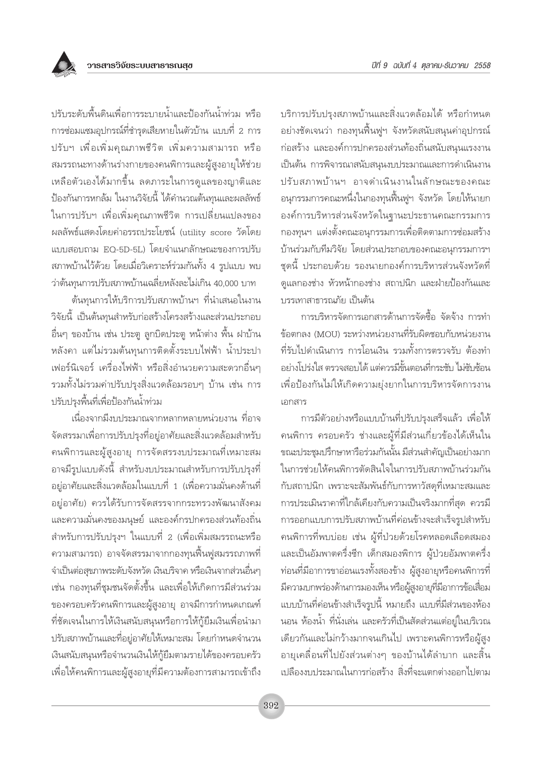

ต้นทุนการให้บริการปรับสภาพบ้านฯ ที่นำเสนอในงาน วิจัยนี้ เป็นต้นทุนสำหรับก่อสร้างโครงสร้างและส่วนประกอบ อื่นๆ ของบ้าน เช่น ประตู ลูกบิดประตู หน้าต่าง พื้น ฝาบ้าน หลังคา แต่ไม่รวมต้นทุนการติดตั้งระบบไฟฟ้า น้ำประปา ้เฟอร์นิเจอร์ เครื่องไฟฟ้า หรือสิ่งอำนวยความสะดวกอื่นๆ รวมทั้งไม่รวมค่าปรับปรุงสิ่งแวดล้อมรอบๆ บ้าน เช่น การ ปรับปรุงพื้นที่เพื่อป้องกันน้ำท่วม

เนื่องจากมีงบประมาณจากหลากหลายหน่วยงาน ที่อาจ จัดสรรมาเพื่อการปรับปรุงที่อยู่อาศัยและสิ่งแวดล้อมสำหรับ ึคนพิการและผู้สูงอายุ การจัดสรรงบประมาณที่เหมาะสม อาจมีรูปแบบดังนี้ สำหรับงบประมาณสำหรับการปรับปรุงที่ ้อยู่อาศัยและสิ่งแวดล้อมในแบบที่ 1 (เพื่อความมั่นคงด้านที่ ้อยู่อาศัย) ควรได้รับการจัดสรรจากกระทรวงพัฒนาสังคม และความมั่นคงของมนุษย์ และองค์กรปกครองส่วนท้องถิ่น ้สำหรับการปรับปรุงฯ ในแบบที่ 2 (เพื่อเพิ่มสมรรถนะหรือ ความสามารถ) อาจจัดสรรมาจากกองทุนฟื้นฟูสมรรถภาพที่ จำเป็นต่อสุขภาพระดับจังหวัด เงินบริจาค หรือเงินจากส่วนอื่นๆ เช่น กองทุนที่ชุมชนจัดตั้งขึ้น และเพื่อให้เกิดการมีส่วนร่วม ของครอบครัวคนพิการและผู้สูงอายุ อาจมีการกำหนดเกณฑ์ ที่ชัดเจนในการให้เงินสนับสนุนหรือการให้กู้ยืมเงินเพื่อนำมา ปรับสภาพบ้านและที่อยู่อาศัยให้เหมาะสม โดยกำหนดจำนวน เงินสนับสนุนหรือจำนวนเงินให้กู้ยืมตามรายได้ของครอบครัว เพื่อให้คนพิการและผู้สูงอายุที่มีความต้องการสามารถเข้าถึง บริการปรับปรุงสภาพบ้านและสิ่งแวดล้อมได้ หรือกำหนด ้อย่างชัดเจนว่า กองทุนฟื้นฟูฯ จังหวัดสนับสนุนค่าอุปกรณ์ ึก่อสร้าง และองค์การปกครองส่วนท้องถิ่นสนับสนุนแรงงาน เป็นต้น การพิจารณาสนับสนุนงบประมาณและการดำเนินงาน ปรับสภาพบ้านฯ อาจดำเนินงานในลักษณะของคณะ ้อนุกรรมการคณะหนึ่งในกองทุนฟื้นฟูฯ จังหวัด โดยให้นายก องค์การบริหารส่วนจังหวัดในฐานะประธานคณะกรรมการ ึกองทุนฯ แต่งตั้งคณะอนุกรรมการเพื่อติดตามการซ่อมสร้าง บ้านร่วมกับทีมวิจัย โดยส่วนประกอบของคณะอนุกรรมการฯ ชุดนี้ ประกอบด้วย รองนายกองค์การบริหารส่วนจังหวัดที่ ดูแลกองช่าง หัวหน้ากองช่าง สถาปนิก และฝ่ายป้องกันและ บรรเทาสาธารณภัย เป็นต้น

การบริหารจัดการเอกสารด้านการจัดซื้อ จัดจ้าง การทำ ข้อตกลง (MOU) ระหว่างหน่วยงานที่รับผิดชอบกับหน่วยงาน ที่รับไปดำเนินการ การโอนเงิน รวมทั้งการตรวจรับ ต้องทำ อย่างโปร่งใส ตรวจสอบได้ แต่ควรมีขั้นตอนที่กระชับ ไม่ซับซ้อน เพื่อป้องกันไม่ให้เกิดความยุ่งยากในการบริหารจัดการงาน เอกสาร

การมีตัวอย่างหรือแบบบ้านที่ปรับปรุงเสร็จแล้ว เพื่อให้ ้คนพิการ ครอบครัว ช่างและผู้ที่มีส่วนเกี่ยวข้องได้เห็นใน ขณะประชุมปรึกษาหารือร่วมกันนั้น มีส่วนสำคัญเป็นอย่างมาก ในการช่วยให้คนพิการตัดสินใจในการปรับสภาพบ้านร่วมกัน กับสถาปนิก เพราะจะสัมพันธ์กับการหาวัสดุที่เหมาะสมและ การประเมินราคาที่ใกล้เคียงกับความเป็นจริงมากที่สุด ควรมี การออกแบบการปรับสภาพบ้านที่ค่อนข้างจะสำเร็จรูปสำหรับ ึคนพิการที่พบบ่อย เช่น ผู้ที่ป่วยด้วยโรคหลอดเลือดสมอง และเป็นอัมพาตครึ่งชีก เด็กสมองพิการ ผู้ป่วยอัมพาตครึ่ง ้ท่อนที่มีอาการขาอ่อนแรงทั้งสองข้าง ผู้สูงอายุหรือคนพิการที่ ้มีความบกพร่องด้านการมองเห็น หรือผู้สูงอายุที่มีอาการข้อเสื่อม แบบบ้านที่ค่อนข้างสำเร็จรูปนี้ หมายถึง แบบที่มีส่วนของห้อง ้นอน ห้องน้ำ ที่นั่งเล่น และครัวที่เป็นสัดส่วนแต่อยู่ในบริเวณ เดียวกันและไม่กว้างมากจนเกินไป เพราะคนพิการหรือผู้สูง อายเคลื่อนที่ไปยังส่วนต่างๆ ของบ้านได้ลำบาก และสิ้น เปลืองงบประมาณในการก่อสร้าง สิ่งที่จะแตกต่างออกไปตาม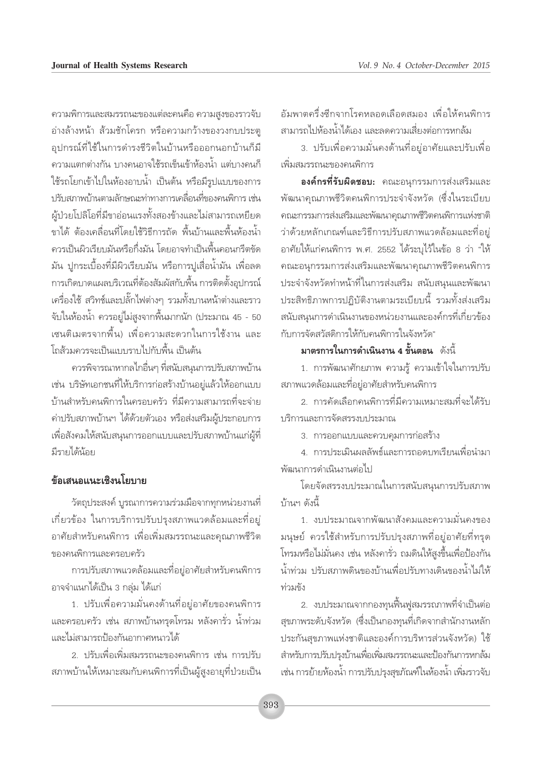อัมพาตครึ่งซีกจากโรคหลอดเลือดสมอง เพื่อให้คนพิการ สามารถไปห้องน้ำได้เอง และลดความเสี่ยงต่อการหกล้ม

3. ปรับเพื่อความมั่นคงด้านที่อยู่อาศัยและปรับเพื่อ เพิ่มสมรรถนะของคนพิการ

องค์กรที่รับผิดชอบ: คณะอนุกรรมการส่งเสริมและ พัฒนาคุณภาพชีวิตคนพิการประจำจังหวัด (ซึ่งในระเบียบ คณะกรรมการส่งเสริมและพัฒนาคุณภาพชีวิตคนพิการแห่งชาติ ว่าด้วยหลักเกณฑ์และวิธีการปรับสภาพแวดล้อมและที่อยู่ อาศัยให้แก่คนพิการ พ.ศ. 2552 ได้ระบไว้ในข้อ 8 ว่า "ให้ คณะอนุกรรมการส่งเสริมและพัฒนาคุณภาพชีวิตคนพิการ ประจำจังหวัดทำหน้าที่ในการส่งเสริม สนับสนุนและพัฒนา ประสิทธิภาพการปฏิบัติงานตามระเบียบนี้ รวมทั้งส่งเสริม สนับสนุนการดำเนินงานของหน่วยงานและองค์กรที่เกี่ยวข้อง กับการจัดสวัสดิการให้กับคนพิการในจังหวัด"

#### มาตรการในการดำเนินงาน 4 ขั้นตอน ดังนี้

1. การพัฒนาศักยภาพ ความรู้ ความเข้าใจในการปรับ สภาพแวดล้อมและที่อยู่อาศัยสำหรับคนพิการ

2 การดัดเลือกคนพิการที่มีความเหมาะสมที่จะได้รับ บริการและการจัดสรรงบประมาณ

3. การออกแบบและควบคุมการก่อสร้าง

4. การประเมินผลลัพธ์และการถอดบทเรียนเพื่อนำมา พัฒนาการดำเนินงานต่อไป

โดยจัดสรรงบประมาณในการสนับสนุนการปรับสภาพ ำ้านฯ ดังนี้

1. งบประมาณจากพัฒนาสังคมและความมั่นคงของ ้มนุษย์ ควรใช้สำหรับการปรับปรุงสภาพที่อยู่อาศัยที่ทรุด โทรมหรือไม่มั่นคง เช่น หลังคารั่ว ถมดินให้สูงขึ้นเพื่อป้องกัน ้น้ำท่วม ปรับสภาพดินของบ้านเพื่อปรับทางเดินของน้ำไม่ให้ ท่วมขัง

2. งบประมาณจากกองทุนฟื้นฟูสมรรถภาพที่จำเป็นต่อ ้สุขภาพระดับจังหวัด (ซึ่งเป็นกองทุนที่เกิดจากสำนักงานหลัก ประกันสุขภาพแห่งชาติและองค์การบริหารส่วนจังหวัด) ใช้ สำหรับการปรับปรุงบ้านเพื่อเพิ่มสมรรถนะและป้องกันการหกล้ม เช่น การย้ายห้องน้ำ การปรับปรุงสุขภัณฑ์ในห้องน้ำ เพิ่มราวจับ

ความพิการและสมรรถนะของแต่ละคนคือ ความสูงของราวจับ อ่างล้างหน้า ส้วมชักโครก หรือความกว้างของวงกบประตู อุปกรณ์ที่ใช้ในการดำรงชีวิตในบ้านหรือออกนอกบ้านก็มี ้ความแตกต่างกัน บางคนอาจใช้รถเข็นเข้าห้องน้ำ แต่บางคนก็ ใช้รถโยกเข้าไปในห้องอาบน้ำ เป็นต้น หรือมีรูปแบบของการ ปรับสภาพบ้านตามลักษณะท่าทางการเคลื่อนที่ของคนพิการ เช่น ผู้ป่วยโปลิโอที่มีขาอ่อนแรงทั้งสองข้างและไม่สามารถเหยียด ขาได้ ต้องเคลื่อนที่โดยใช้วิธีการถัด พื้นบ้านและพื้นห้องน้ำ ควรเป็นผิวเรียบมันหรือกึ่งมัน โดยอาจทำเป็นพื้นคอนกรีตขัด มัน ปูกระเบื้องที่มีผิวเรียบมัน หรือการปูเสื่อน้ำมัน เพื่อลด การเกิดบาดแผลบริเวณที่ต้องสัมผัสกับพื้น การติดตั้งอุปกรณ์ เครื่องใช้ สวิทช์และปลั๊กไฟต่างๆ รวมทั้งบานหน้าต่างและราว จับในห้องน้ำ ควรอยู่ไม่สูงจากพื้นมากนัก (ประมาณ 45 - 50 ้เซนติเมตรจากพื้น) เพื่อความสะดวกในการใช้งาน และ โถส้วมควรจะเป็นแบบราบไปกับพื้น เป็นต้น

ิ ควรพิจารณาหากลไกอื่นๆ ที่สนับสนุนการปรับสภาพบ้าน เช่น บริษัทเอกชนที่ให้บริการก่อสร้างบ้านอยู่แล้วให้ออกแบบ บ้านสำหรับคนพิการในครอบครัว ที่มีความสามารถที่จะจ่าย ค่าปรับสภาพบ้านฯ ได้ด้วยตัวเอง หรือส่งเสริมผู้ประกอบการ เพื่อสังคมให้สนับสนุนการออกแบบและปรับสภาพบ้านแก่ผู้ที่ มีรายได้น้อย

### ข้อเสนอแนะเชิงนโยงกะ

วัตถุประสงค์ บูรณาการความร่วมมือจากทุกหน่วยงานที่ เกี่ยวข้อง ในการบริการปรับปรุงสภาพแวดล้อมและที่อยู่ อาศัยสำหรับคนพิการ เพื่อเพิ่มสมรรถนะและคุณภาพชีวิต ของคนพิการและครอบครัว

การปรับสภาพแวดล้อมและที่อยู่อาศัยสำหรับคนพิการ ้อาจจำแนกได้เป็น 3 กลุ่ม ได้แก่

1. ปรับเพื่อความมั่นคงด้านที่อยู่อาศัยของคนพิการ และครอบครัว เช่น สภาพบ้านทรุดโทรม หลังคารั่ว น้ำท่วม และไม่สามารถป้องกันอากาศหนาวได้

2. ปรับเพื่อเพิ่มสมรรถนะของคนพิการ เช่น การปรับ สภาพบ้านให้เหมาะสมกับคนพิการที่เป็นผู้สูงอายุที่ป่วยเป็น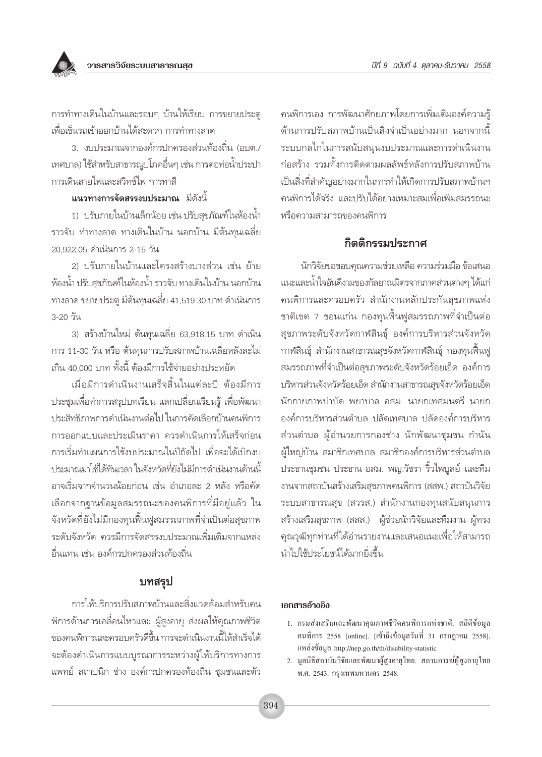การทำทางเดินในบ้านและรอบๆ บ้านให้เรียบ การขยายประตู เพื่อเข็นรถเข้าออกบ้านได้สะดวก การทำทางลาด

3. งบประมาณจากองค์กรปกครองส่วนท้องถิ่น (อบต./ เทศบาล) ใช้สำหรับสาธารณูปโภคอื่นๆ เช่น การต่อท่อน้ำประปา การเดินสายไฟและสวิทช์ไฟ การทาสี

#### แนวทางการจัดสรรงบประมาณ มีดังนี้

1) ปรับภายในบ้านเล็กน้อย เช่น ปรับสุขภัณฑ์ในห้องน้ำ ราวจับ ทำทางลาด ทางเดินในบ้าน นอกบ้าน มีต้นทุนเฉลี่ย 20 922 05 ดำเนินการ 2-15 วัน

2) ปรับภายในบ้านและโครงสร้างบางส่วน เช่น ย้าย ห้องน้ำ ปรับสุขภัณฑ์ในห้องน้ำ ราวจับ ทางเดินในบ้าน นอกบ้าน ทางลาด ขยายประตู มีต้นทุนเฉลี่ย 41,519.30 บาท ดำเนินการ 3-20 วัน

3) สร้างบ้านใหม่ ต้นทุนเฉลี่ย 63,918.15 บาท ดำเนิน ิการ 11-30 วัน หรือ ต้นทุนการปรับสภาพบ้านเฉลี่ยหลังละไม่ เกิน 40,000 บาท ทั้งนี้ ต้องมีการใช้จ่ายอย่างประหยัด

เมื่อมีการดำเนินงานเสร็จสิ้นในแต่ละปี ต้องมีการ ประชุมเพื่อทำการสรุปบทเรียน แลกเปลี่ยนเรียนรู้ เพื่อพัฒนา ประสิทธิภาพการดำเนินงานต่อไป ในการคัดเลือกบ้านคนพิการ การออกแบบและประเมินราคา ควรดำเนินการให้เสร็จก่อน การเริ่มทำแผนการใช้งบประมาณในปีถัดไป เพื่อจะได้เบิกงบ ประมาณมาใช้ได้ทันเวลา ในจังหวัดที่ยังไม่มีการดำเนินงานด้านนี้ ้อาจเริ่มจากจำนวนน้อยก่อน เช่น อำเภอละ 2 หลัง หรือคัด เลือกจากฐานข้อมูลสมรรถนะของคนพิการที่มีอยู่แล้ว ใน จังหวัดที่ยังไม่มีกองทุนฟื้นฟูสมรรถภาพที่จำเป็นต่อสุขภาพ ระดับจังหวัด ควรมีการจัดสรรงบประมาณเพิ่มเติมจากแหล่ง ลื่นแทน เช่น องค์กรปกครองส่วนท้องถิ่น

### บทสรุป

การให้บริการปรับสภาพบ้านและสิ่งแวดล้อมสำหรับคน ้พิการด้านการเคลื่อนไหวและ ผู้สูงอายุ ส่งผลให้คุณภาพชีวิต ของคนพิการและครอบครัวดีขึ้น การจะดำเนินงานนี้ให้สำเร็จได้ จะต้องดำเนินการแบบบูรณาการระหว่างผู้ให้บริการทางการ แพทย์ สถาปนิก ช่าง องค์กรปกครองท้องถิ่น ชุมชนและตัว

้คนพิการเอง การพัฒนาศักยภาพโดยการเพิ่มเติมองค์ความรู้ ด้านการปรับสภาพบ้านเป็นสิ่งจำเป็นอย่างมาก นอกจากนี้ ระบบกลไกในการสนับสนุนงบประมาณและการดำเนินงาน ก่อสร้าง รวมทั้งการติดตามผลลัพธ์หลังการปรับสภาพบ้าน เป็นสิ่งที่สำคัญอย่างมากในการทำให้เกิดการปรับสภาพบ้านฯ ้ดนพิการได้จริง และปรับได้อย่างเหมาะสมเพื่อเพิ่มสมรรถนะ หรือความสามารถของคนพิการ

## กิตติกรรมประกาศ

นักวิจัยขอขอบคุณความช่วยเหลือ ความร่วมมือ ข้อเสนอ แนะและน้ำใจอันดีงามของกัลยาณมิตรจากภาคส่วนต่างๆ ได้แก่ คนพิการและครอบครัว สำนักงานหลักประกันสุขภาพแห่ง ชาติเขต 7 ขอนแก่น กองทุนฟื้นฟูสมรรถภาพที่จำเป็นต่อ สุขภาพระดับจังหวัดกาฬสินธุ์ องค์การบริหารส่วนจังหวัด กาฬสินธุ์ สำนักงานสาธารณสุขจังหวัดกาฬสินธุ์ กองทุนฟื้นฟู ิสมรรถภาพที่จำเป็นต่อสุขภาพระดับจังหวัดร้อยเอ็ด องค์การ บริหารส่วนจังหวัดร้อยเอ็ด สำนักงานสาธารณสุขจังหวัดร้อยเอ็ด นักกายภาพบำบัด พยาบาล อสม. นายกเทศมนตรี นายก องค์การบริหารส่วนตำบล ปลัดเทศบาล ปลัดองค์การบริหาร ส่วนตำบล ผู้อำนวยการกองช่าง นักพัฒนาชุมชน กำนัน ผู้ใหญ่บ้าน สมาชิกเทศบาล สมาชิกองค์การบริหารส่วนตำบล ประธานชุมชน ประธาน อสม. พญ.วัชรา ริ้วไพบูลย์ และที่ม งานจากสถาบันสร้างเสริมสุขภาพคนพิการ (สสพ.) สถาบันวิจัย ระบบสาธารณสุข (สวรส.) สำนักงานกองทุนสนับสนุนการ สร้างเสริมสุขภาพ (สสส.) ผู้ช่วยนักวิจัยและทีมงาน ผู้ทรง ้คุณวุฒิทุกท่านที่ได้อ่านรายงานและเสนอแนะเพื่อให้สามารถ นำไปใช้ประโยชน์ได้มากยิ่งขึ้น

#### เอกสารอ้างอิง

- 1. กรมส่งเสริมและพัฒนาคุณภาพชีวิตคนพิการแห่งชาติ. สถิติข้อมูล ึกนพิการ 2558 [online]. [เข้าถึงข้อมูลวันที่ 31 กรกฎาคม 2558]. แหล่งข้อมูล http://nep.go.th/th/disability-statistic
- 2. มูลนิธิสถาบันวิจัยและพัฒนาผู้สูงอายุไทย. สถานการณ์ผู้สูงอายุไทย พ.ศ. 2543. กรงเทพมหานคร 2548.